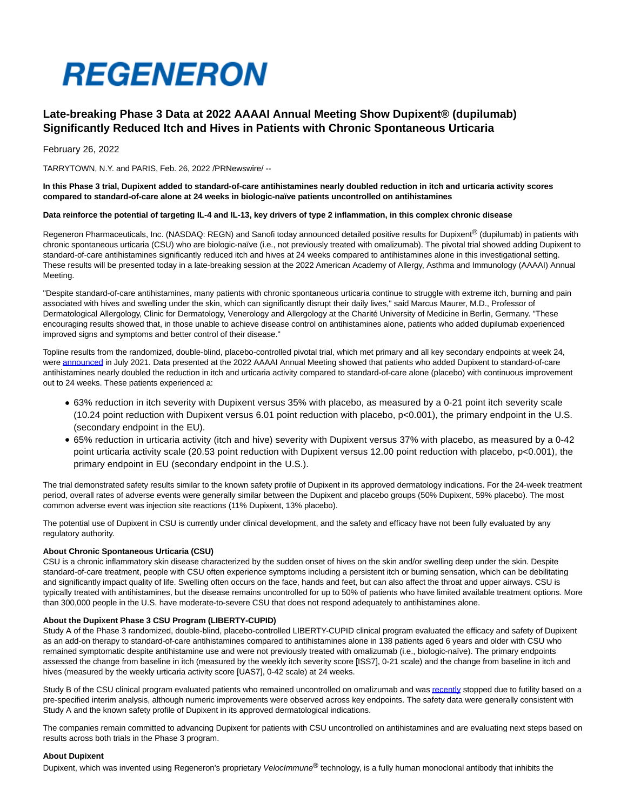

# **Late-breaking Phase 3 Data at 2022 AAAAI Annual Meeting Show Dupixent® (dupilumab) Significantly Reduced Itch and Hives in Patients with Chronic Spontaneous Urticaria**

February 26, 2022

TARRYTOWN, N.Y. and PARIS, Feb. 26, 2022 /PRNewswire/ --

**In this Phase 3 trial, Dupixent added to standard-of-care antihistamines nearly doubled reduction in itch and urticaria activity scores compared to standard-of-care alone at 24 weeks in biologic-naïve patients uncontrolled on antihistamines**

## **Data reinforce the potential of targeting IL-4 and IL-13, key drivers of type 2 inflammation, in this complex chronic disease**

Regeneron Pharmaceuticals, Inc. (NASDAQ: REGN) and Sanofi today announced detailed positive results for Dupixent<sup>®</sup> (dupilumab) in patients with chronic spontaneous urticaria (CSU) who are biologic-naïve (i.e., not previously treated with omalizumab). The pivotal trial showed adding Dupixent to standard-of-care antihistamines significantly reduced itch and hives at 24 weeks compared to antihistamines alone in this investigational setting. These results will be presented today in a late-breaking session at the 2022 American Academy of Allergy, Asthma and Immunology (AAAAI) Annual Meeting.

"Despite standard-of-care antihistamines, many patients with chronic spontaneous urticaria continue to struggle with extreme itch, burning and pain associated with hives and swelling under the skin, which can significantly disrupt their daily lives," said Marcus Maurer, M.D., Professor of Dermatological Allergology, Clinic for Dermatology, Venerology and Allergology at the Charité University of Medicine in Berlin, Germany. "These encouraging results showed that, in those unable to achieve disease control on antihistamines alone, patients who added dupilumab experienced improved signs and symptoms and better control of their disease."

Topline results from the randomized, double-blind, placebo-controlled pivotal trial, which met primary and all key secondary endpoints at week 24, wer[e announced i](https://c212.net/c/link/?t=0&l=en&o=3456060-1&h=25710922&u=https%3A%2F%2Fnewsroom.regeneron.com%2Fnews-releases%2Fnews-release-details%2Fdupixentr-dupilumab-significantly-improved-itch-and-hives&a=announced)n July 2021. Data presented at the 2022 AAAAI Annual Meeting showed that patients who added Dupixent to standard-of-care antihistamines nearly doubled the reduction in itch and urticaria activity compared to standard-of-care alone (placebo) with continuous improvement out to 24 weeks. These patients experienced a:

- 63% reduction in itch severity with Dupixent versus 35% with placebo, as measured by a 0-21 point itch severity scale (10.24 point reduction with Dupixent versus 6.01 point reduction with placebo, p<0.001), the primary endpoint in the U.S. (secondary endpoint in the EU).
- 65% reduction in urticaria activity (itch and hive) severity with Dupixent versus 37% with placebo, as measured by a 0-42 point urticaria activity scale (20.53 point reduction with Dupixent versus 12.00 point reduction with placebo, p<0.001), the primary endpoint in EU (secondary endpoint in the U.S.).

The trial demonstrated safety results similar to the known safety profile of Dupixent in its approved dermatology indications. For the 24-week treatment period, overall rates of adverse events were generally similar between the Dupixent and placebo groups (50% Dupixent, 59% placebo). The most common adverse event was injection site reactions (11% Dupixent, 13% placebo).

The potential use of Dupixent in CSU is currently under clinical development, and the safety and efficacy have not been fully evaluated by any regulatory authority.

## **About Chronic Spontaneous Urticaria (CSU)**

CSU is a chronic inflammatory skin disease characterized by the sudden onset of hives on the skin and/or swelling deep under the skin. Despite standard-of-care treatment, people with CSU often experience symptoms including a persistent itch or burning sensation, which can be debilitating and significantly impact quality of life. Swelling often occurs on the face, hands and feet, but can also affect the throat and upper airways. CSU is typically treated with antihistamines, but the disease remains uncontrolled for up to 50% of patients who have limited available treatment options. More than 300,000 people in the U.S. have moderate-to-severe CSU that does not respond adequately to antihistamines alone.

## **About the Dupixent Phase 3 CSU Program (LIBERTY-CUPID)**

Study A of the Phase 3 randomized, double-blind, placebo-controlled LIBERTY-CUPID clinical program evaluated the efficacy and safety of Dupixent as an add-on therapy to standard-of-care antihistamines compared to antihistamines alone in 138 patients aged 6 years and older with CSU who remained symptomatic despite antihistamine use and were not previously treated with omalizumab (i.e., biologic-naïve). The primary endpoints assessed the change from baseline in itch (measured by the weekly itch severity score [ISS7], 0-21 scale) and the change from baseline in itch and hives (measured by the weekly urticaria activity score [UAS7], 0-42 scale) at 24 weeks.

Study B of the CSU clinical program evaluated patients who remained uncontrolled on omalizumab and wa[s recently s](https://c212.net/c/link/?t=0&l=en&o=3456060-1&h=3706456947&u=https%3A%2F%2Finvestor.regeneron.com%2Fnews-releases%2Fnews-release-details%2Fregeneron-and-sanofi-provide-update-ongoing-dupixentr-dupilumab&a=recently)topped due to futility based on a pre-specified interim analysis, although numeric improvements were observed across key endpoints. The safety data were generally consistent with Study A and the known safety profile of Dupixent in its approved dermatological indications.

The companies remain committed to advancing Dupixent for patients with CSU uncontrolled on antihistamines and are evaluating next steps based on results across both trials in the Phase 3 program.

#### **About Dupixent**

Dupixent, which was invented using Regeneron's proprietary Veloclmmune<sup>®</sup> technology, is a fully human monoclonal antibody that inhibits the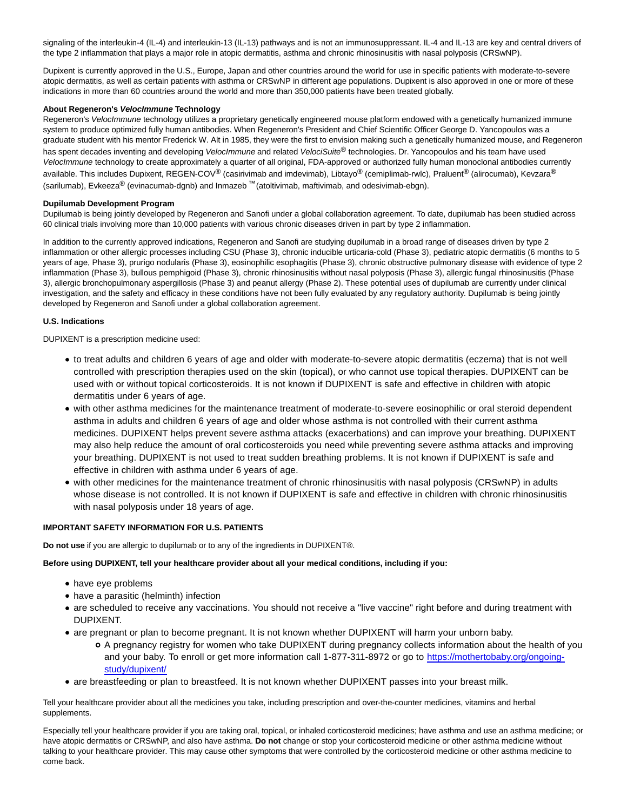signaling of the interleukin-4 (IL-4) and interleukin-13 (IL-13) pathways and is not an immunosuppressant. IL-4 and IL-13 are key and central drivers of the type 2 inflammation that plays a major role in atopic dermatitis, asthma and chronic rhinosinusitis with nasal polyposis (CRSwNP).

Dupixent is currently approved in the U.S., Europe, Japan and other countries around the world for use in specific patients with moderate-to-severe atopic dermatitis, as well as certain patients with asthma or CRSwNP in different age populations. Dupixent is also approved in one or more of these indications in more than 60 countries around the world and more than 350,000 patients have been treated globally.

# **About Regeneron's VelocImmune Technology**

Regeneron's Veloclmmune technology utilizes a proprietary genetically engineered mouse platform endowed with a genetically humanized immune system to produce optimized fully human antibodies. When Regeneron's President and Chief Scientific Officer George D. Yancopoulos was a graduate student with his mentor Frederick W. Alt in 1985, they were the first to envision making such a genetically humanized mouse, and Regeneron has spent decades inventing and developing VelocImmune and related VelociSuite® technologies. Dr. Yancopoulos and his team have used VelocImmune technology to create approximately a quarter of all original, FDA-approved or authorized fully human monoclonal antibodies currently available. This includes Dupixent, REGEN-COV® (casirivimab and imdevimab), Libtayo® (cemiplimab-rwlc), Praluent® (alirocumab), Kevzara® (sarilumab), Evkeeza<sup>®</sup> (evinacumab-dgnb) and Inmazeb ™ (atoltivimab, maftivimab, and odesivimab-ebgn).

## **Dupilumab Development Program**

Dupilumab is being jointly developed by Regeneron and Sanofi under a global collaboration agreement. To date, dupilumab has been studied across 60 clinical trials involving more than 10,000 patients with various chronic diseases driven in part by type 2 inflammation.

In addition to the currently approved indications, Regeneron and Sanofi are studying dupilumab in a broad range of diseases driven by type 2 inflammation or other allergic processes including CSU (Phase 3), chronic inducible urticaria-cold (Phase 3), pediatric atopic dermatitis (6 months to 5 years of age, Phase 3), prurigo nodularis (Phase 3), eosinophilic esophagitis (Phase 3), chronic obstructive pulmonary disease with evidence of type 2 inflammation (Phase 3), bullous pemphigoid (Phase 3), chronic rhinosinusitis without nasal polyposis (Phase 3), allergic fungal rhinosinusitis (Phase 3), allergic bronchopulmonary aspergillosis (Phase 3) and peanut allergy (Phase 2). These potential uses of dupilumab are currently under clinical investigation, and the safety and efficacy in these conditions have not been fully evaluated by any regulatory authority. Dupilumab is being jointly developed by Regeneron and Sanofi under a global collaboration agreement.

# **U.S. Indications**

DUPIXENT is a prescription medicine used:

- to treat adults and children 6 years of age and older with moderate-to-severe atopic dermatitis (eczema) that is not well controlled with prescription therapies used on the skin (topical), or who cannot use topical therapies. DUPIXENT can be used with or without topical corticosteroids. It is not known if DUPIXENT is safe and effective in children with atopic dermatitis under 6 years of age.
- with other asthma medicines for the maintenance treatment of moderate-to-severe eosinophilic or oral steroid dependent asthma in adults and children 6 years of age and older whose asthma is not controlled with their current asthma medicines. DUPIXENT helps prevent severe asthma attacks (exacerbations) and can improve your breathing. DUPIXENT may also help reduce the amount of oral corticosteroids you need while preventing severe asthma attacks and improving your breathing. DUPIXENT is not used to treat sudden breathing problems. It is not known if DUPIXENT is safe and effective in children with asthma under 6 years of age.
- with other medicines for the maintenance treatment of chronic rhinosinusitis with nasal polyposis (CRSwNP) in adults whose disease is not controlled. It is not known if DUPIXENT is safe and effective in children with chronic rhinosinusitis with nasal polyposis under 18 years of age.

## **IMPORTANT SAFETY INFORMATION FOR U.S. PATIENTS**

**Do not use** if you are allergic to dupilumab or to any of the ingredients in DUPIXENT®.

## **Before using DUPIXENT, tell your healthcare provider about all your medical conditions, including if you:**

- have eye problems
- have a parasitic (helminth) infection
- are scheduled to receive any vaccinations. You should not receive a "live vaccine" right before and during treatment with DUPIXENT.
- are pregnant or plan to become pregnant. It is not known whether DUPIXENT will harm your unborn baby.
	- A pregnancy registry for women who take DUPIXENT during pregnancy collects information about the health of you and your baby. To enroll or get more information call 1-877-311-8972 or go to [https://mothertobaby.org/ongoing](https://mothertobaby.org/ongoing-study/dupixent/)study/dupixent/
- are breastfeeding or plan to breastfeed. It is not known whether DUPIXENT passes into your breast milk.

Tell your healthcare provider about all the medicines you take, including prescription and over-the-counter medicines, vitamins and herbal supplements.

Especially tell your healthcare provider if you are taking oral, topical, or inhaled corticosteroid medicines; have asthma and use an asthma medicine; or have atopic dermatitis or CRSwNP, and also have asthma. **Do not** change or stop your corticosteroid medicine or other asthma medicine without talking to your healthcare provider. This may cause other symptoms that were controlled by the corticosteroid medicine or other asthma medicine to come back.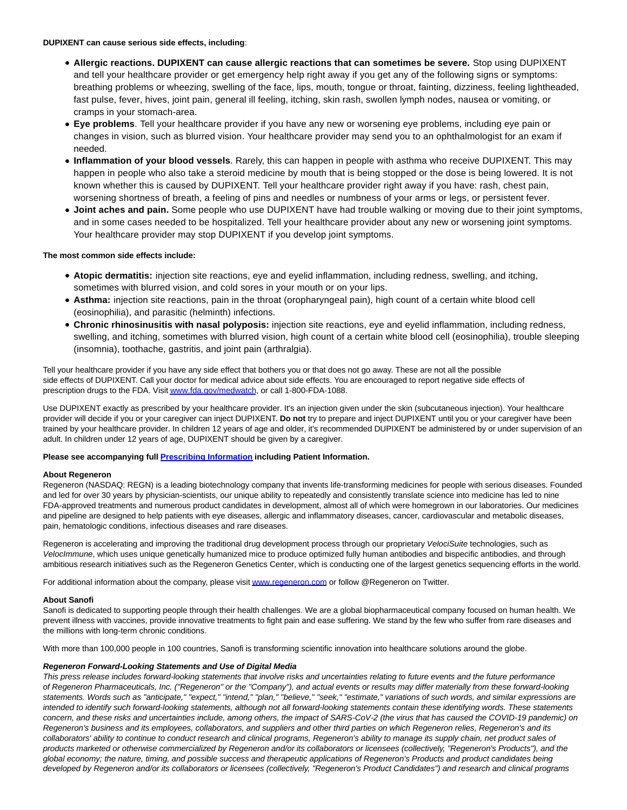**DUPIXENT can cause serious side effects, including**:

- **Allergic reactions. DUPIXENT can cause allergic reactions that can sometimes be severe.** Stop using DUPIXENT and tell your healthcare provider or get emergency help right away if you get any of the following signs or symptoms: breathing problems or wheezing, swelling of the face, lips, mouth, tongue or throat, fainting, dizziness, feeling lightheaded, fast pulse, fever, hives, joint pain, general ill feeling, itching, skin rash, swollen lymph nodes, nausea or vomiting, or cramps in your stomach-area.
- **Eye problems**. Tell your healthcare provider if you have any new or worsening eye problems, including eye pain or changes in vision, such as blurred vision. Your healthcare provider may send you to an ophthalmologist for an exam if needed.
- **Inflammation of your blood vessels**. Rarely, this can happen in people with asthma who receive DUPIXENT. This may happen in people who also take a steroid medicine by mouth that is being stopped or the dose is being lowered. It is not known whether this is caused by DUPIXENT. Tell your healthcare provider right away if you have: rash, chest pain, worsening shortness of breath, a feeling of pins and needles or numbness of your arms or legs, or persistent fever.
- **Joint aches and pain.** Some people who use DUPIXENT have had trouble walking or moving due to their joint symptoms, and in some cases needed to be hospitalized. Tell your healthcare provider about any new or worsening joint symptoms. Your healthcare provider may stop DUPIXENT if you develop joint symptoms.

# **The most common side effects include:**

- **Atopic dermatitis:** injection site reactions, eye and eyelid inflammation, including redness, swelling, and itching, sometimes with blurred vision, and cold sores in your mouth or on your lips.
- **Asthma:** injection site reactions, pain in the throat (oropharyngeal pain), high count of a certain white blood cell (eosinophilia), and parasitic (helminth) infections.
- **Chronic rhinosinusitis with nasal polyposis:** injection site reactions, eye and eyelid inflammation, including redness, swelling, and itching, sometimes with blurred vision, high count of a certain white blood cell (eosinophilia), trouble sleeping (insomnia), toothache, gastritis, and joint pain (arthralgia).

Tell your healthcare provider if you have any side effect that bothers you or that does not go away. These are not all the possible side effects of DUPIXENT. Call your doctor for medical advice about side effects. You are encouraged to report negative side effects of prescription drugs to the FDA. Visi[t www.fda.gov/medwatch,](https://c212.net/c/link/?t=0&l=en&o=3456060-1&h=2075419657&u=https%3A%2F%2Fwww.fda.gov%2Fsafety%2Fmedwatch-fda-safety-information-and-adverse-event-reporting-program&a=www.fda.gov%2Fmedwatch) or call 1-800-FDA-1088.

Use DUPIXENT exactly as prescribed by your healthcare provider. It's an injection given under the skin (subcutaneous injection). Your healthcare provider will decide if you or your caregiver can inject DUPIXENT. **Do not** try to prepare and inject DUPIXENT until you or your caregiver have been trained by your healthcare provider. In children 12 years of age and older, it's recommended DUPIXENT be administered by or under supervision of an adult. In children under 12 years of age, DUPIXENT should be given by a caregiver.

# **Please see accompanying full [Prescribing Information](https://c212.net/c/link/?t=0&l=en&o=3456060-1&h=255219634&u=https%3A%2F%2Fwww.regeneron.com%2Fsites%2Fdefault%2Ffiles%2FDupixent_FPI.pdf&a=Prescribing%C2%A0Information) including Patient Information.**

## **About Regeneron**

Regeneron (NASDAQ: REGN) is a leading biotechnology company that invents life-transforming medicines for people with serious diseases. Founded and led for over 30 years by physician-scientists, our unique ability to repeatedly and consistently translate science into medicine has led to nine FDA-approved treatments and numerous product candidates in development, almost all of which were homegrown in our laboratories. Our medicines and pipeline are designed to help patients with eye diseases, allergic and inflammatory diseases, cancer, cardiovascular and metabolic diseases, pain, hematologic conditions, infectious diseases and rare diseases.

Regeneron is accelerating and improving the traditional drug development process through our proprietary VelociSuite technologies, such as Veloclmmune, which uses unique genetically humanized mice to produce optimized fully human antibodies and bispecific antibodies, and through ambitious research initiatives such as the Regeneron Genetics Center, which is conducting one of the largest genetics sequencing efforts in the world.

For additional information about the company, please visi[t www.regeneron.com o](https://c212.net/c/link/?t=0&l=en&o=3456060-1&h=2591491834&u=http%3A%2F%2Fwww.regeneron.com%2F&a=www.regeneron.com)r follow @Regeneron on Twitter.

## **About Sanofi**

Sanofi is dedicated to supporting people through their health challenges. We are a global biopharmaceutical company focused on human health. We prevent illness with vaccines, provide innovative treatments to fight pain and ease suffering. We stand by the few who suffer from rare diseases and the millions with long-term chronic conditions.

With more than 100,000 people in 100 countries, Sanofi is transforming scientific innovation into healthcare solutions around the globe.

## **Regeneron Forward-Looking Statements and Use of Digital Media**

This press release includes forward-looking statements that involve risks and uncertainties relating to future events and the future performance of Regeneron Pharmaceuticals, Inc. ("Regeneron" or the "Company"), and actual events or results may differ materially from these forward-looking statements. Words such as "anticipate," "expect," "intend," "plan," "believe," "seek," "estimate," variations of such words, and similar expressions are intended to identify such forward-looking statements, although not all forward-looking statements contain these identifying words. These statements concern, and these risks and uncertainties include, among others, the impact of SARS-CoV-2 (the virus that has caused the COVID-19 pandemic) on Regeneron's business and its employees, collaborators, and suppliers and other third parties on which Regeneron relies, Regeneron's and its collaborators' ability to continue to conduct research and clinical programs, Regeneron's ability to manage its supply chain, net product sales of products marketed or otherwise commercialized by Regeneron and/or its collaborators or licensees (collectively, "Regeneron's Products"), and the global economy; the nature, timing, and possible success and therapeutic applications of Regeneron's Products and product candidates being developed by Regeneron and/or its collaborators or licensees (collectively, "Regeneron's Product Candidates") and research and clinical programs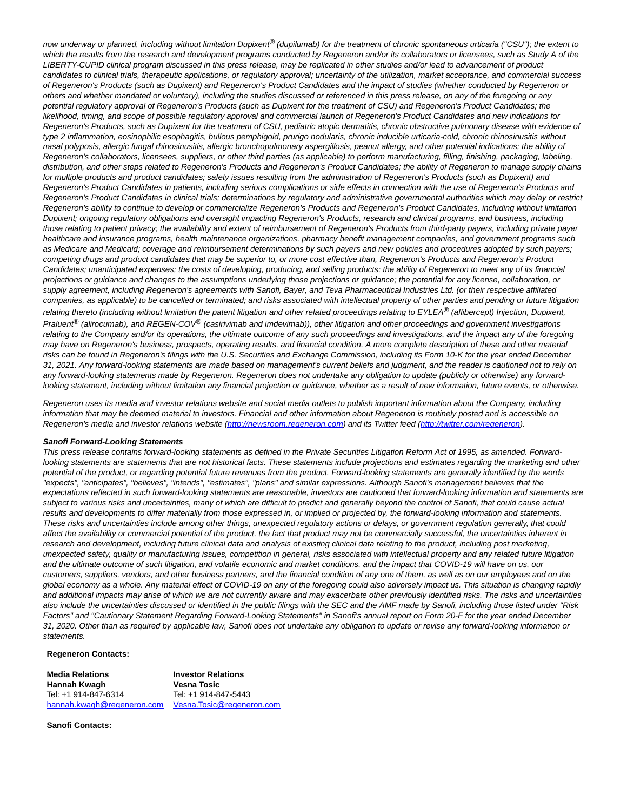now underway or planned, including without limitation Dupixent® (dupilumab) for the treatment of chronic spontaneous urticaria ("CSU"); the extent to which the results from the research and development programs conducted by Regeneron and/or its collaborators or licensees, such as Study A of the LIBERTY-CUPID clinical program discussed in this press release, may be replicated in other studies and/or lead to advancement of product candidates to clinical trials, therapeutic applications, or regulatory approval; uncertainty of the utilization, market acceptance, and commercial success of Regeneron's Products (such as Dupixent) and Regeneron's Product Candidates and the impact of studies (whether conducted by Regeneron or others and whether mandated or voluntary), including the studies discussed or referenced in this press release, on any of the foregoing or any potential regulatory approval of Regeneron's Products (such as Dupixent for the treatment of CSU) and Regeneron's Product Candidates; the likelihood, timing, and scope of possible regulatory approval and commercial launch of Regeneron's Product Candidates and new indications for Regeneron's Products, such as Dupixent for the treatment of CSU, pediatric atopic dermatitis, chronic obstructive pulmonary disease with evidence of type 2 inflammation, eosinophilic esophagitis, bullous pemphigoid, prurigo nodularis, chronic inducible urticaria-cold, chronic rhinosinusitis without nasal polyposis, allergic fungal rhinosinusitis, allergic bronchopulmonary aspergillosis, peanut allergy, and other potential indications; the ability of Regeneron's collaborators, licensees, suppliers, or other third parties (as applicable) to perform manufacturing, filling, finishing, packaging, labeling, distribution, and other steps related to Regeneron's Products and Regeneron's Product Candidates; the ability of Regeneron to manage supply chains for multiple products and product candidates; safety issues resulting from the administration of Regeneron's Products (such as Dupixent) and Regeneron's Product Candidates in patients, including serious complications or side effects in connection with the use of Regeneron's Products and Regeneron's Product Candidates in clinical trials; determinations by regulatory and administrative governmental authorities which may delay or restrict Regeneron's ability to continue to develop or commercialize Regeneron's Products and Regeneron's Product Candidates, including without limitation Dupixent; ongoing regulatory obligations and oversight impacting Regeneron's Products, research and clinical programs, and business, including those relating to patient privacy; the availability and extent of reimbursement of Regeneron's Products from third-party payers, including private payer healthcare and insurance programs, health maintenance organizations, pharmacy benefit management companies, and government programs such as Medicare and Medicaid; coverage and reimbursement determinations by such payers and new policies and procedures adopted by such payers; competing drugs and product candidates that may be superior to, or more cost effective than, Regeneron's Products and Regeneron's Product Candidates; unanticipated expenses; the costs of developing, producing, and selling products; the ability of Regeneron to meet any of its financial projections or guidance and changes to the assumptions underlying those projections or guidance; the potential for any license, collaboration, or supply agreement, including Regeneron's agreements with Sanofi, Bayer, and Teva Pharmaceutical Industries Ltd. (or their respective affiliated companies, as applicable) to be cancelled or terminated; and risks associated with intellectual property of other parties and pending or future litigation relating thereto (including without limitation the patent litigation and other related proceedings relating to EYLEA® (aflibercept) Injection, Dupixent, Praluent<sup>®</sup> (alirocumab), and REGEN-COV<sup>®</sup> (casirivimab and imdevimab)), other litigation and other proceedings and government investigations relating to the Company and/or its operations, the ultimate outcome of any such proceedings and investigations, and the impact any of the foregoing may have on Regeneron's business, prospects, operating results, and financial condition. A more complete description of these and other material risks can be found in Regeneron's filings with the U.S. Securities and Exchange Commission, including its Form 10-K for the year ended December 31, 2021. Any forward-looking statements are made based on management's current beliefs and judgment, and the reader is cautioned not to rely on any forward-looking statements made by Regeneron. Regeneron does not undertake any obligation to update (publicly or otherwise) any forwardlooking statement, including without limitation any financial projection or guidance, whether as a result of new information, future events, or otherwise.

Regeneron uses its media and investor relations website and social media outlets to publish important information about the Company, including information that may be deemed material to investors. Financial and other information about Regeneron is routinely posted and is accessible on Regeneron's media and investor relations website [\(http://newsroom.regeneron.com\)](https://c212.net/c/link/?t=0&l=en&o=3456060-1&h=3005119872&u=http%3A%2F%2Fnewsroom.regeneron.com%2F&a=http%3A%2F%2Fnewsroom.regeneron.com) and its Twitter feed [\(http://twitter.com/regeneron\).](https://c212.net/c/link/?t=0&l=en&o=3456060-1&h=3041903223&u=https%3A%2F%2Fc212.net%2Fc%2Flink%2F%3Ft%3D0%26l%3Den%26o%3D3387026-1%26h%3D619644995%26u%3Dhttp%253A%252F%252Ftwitter.com%252Fregeneron%26a%3Dhttp%253A%252F%252Ftwitter.com%252Fregeneron&a=http%3A%2F%2Ftwitter.com%2Fregeneron)

#### **Sanofi Forward-Looking Statements**

This press release contains forward-looking statements as defined in the Private Securities Litigation Reform Act of 1995, as amended. Forwardlooking statements are statements that are not historical facts. These statements include projections and estimates regarding the marketing and other potential of the product, or regarding potential future revenues from the product. Forward-looking statements are generally identified by the words "expects", "anticipates", "believes", "intends", "estimates", "plans" and similar expressions. Although Sanofi's management believes that the expectations reflected in such forward-looking statements are reasonable, investors are cautioned that forward-looking information and statements are subject to various risks and uncertainties, many of which are difficult to predict and generally beyond the control of Sanofi, that could cause actual results and developments to differ materially from those expressed in, or implied or projected by, the forward-looking information and statements. These risks and uncertainties include among other things, unexpected regulatory actions or delays, or government regulation generally, that could affect the availability or commercial potential of the product, the fact that product may not be commercially successful, the uncertainties inherent in research and development, including future clinical data and analysis of existing clinical data relating to the product, including post marketing, unexpected safety, quality or manufacturing issues, competition in general, risks associated with intellectual property and any related future litigation and the ultimate outcome of such litigation, and volatile economic and market conditions, and the impact that COVID-19 will have on us, our customers, suppliers, vendors, and other business partners, and the financial condition of any one of them, as well as on our employees and on the global economy as a whole. Any material effect of COVID-19 on any of the foregoing could also adversely impact us. This situation is changing rapidly and additional impacts may arise of which we are not currently aware and may exacerbate other previously identified risks. The risks and uncertainties also include the uncertainties discussed or identified in the public filings with the SEC and the AMF made by Sanofi, including those listed under "Risk Factors" and "Cautionary Statement Regarding Forward-Looking Statements" in Sanofi's annual report on Form 20-F for the year ended December 31, 2020. Other than as required by applicable law, Sanofi does not undertake any obligation to update or revise any forward-looking information or statements.

#### **Regeneron Contacts:**

| <b>Media Relations</b>     | <b>Investor Relations</b>  |
|----------------------------|----------------------------|
| Hannah Kwaqh               | <b>Vesna Tosic</b>         |
| Tel: +1 914-847-6314       | Tel: +1 914-847-5443       |
| hannah.kwagh@regeneron.com | Vesna. Tosic@regeneron.com |

**Sanofi Contacts:**